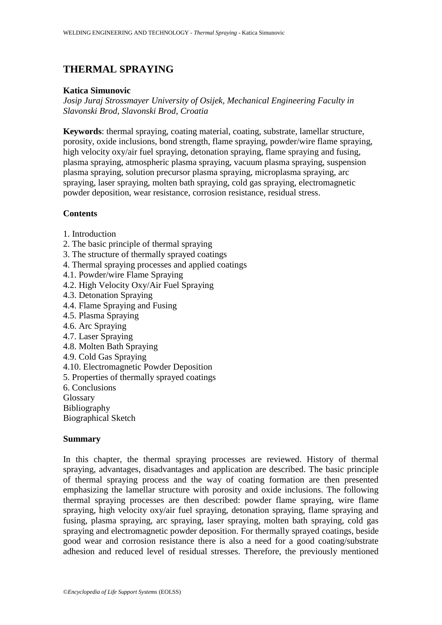# **THERMAL SPRAYING**

#### **Katica Simunovic**

*Josip Juraj Strossmayer University of Osijek, Mechanical Engineering Faculty in Slavonski Brod, Slavonski Brod, Croatia* 

**Keywords**: thermal spraying, coating material, coating, substrate, lamellar structure, porosity, oxide inclusions, bond strength, flame spraying, powder/wire flame spraying, high velocity oxy/air fuel spraying, detonation spraying, flame spraying and fusing, plasma spraying, atmospheric plasma spraying, vacuum plasma spraying, suspension plasma spraying, solution precursor plasma spraying, microplasma spraying, arc spraying, laser spraying, molten bath spraying, cold gas spraying, electromagnetic powder deposition, wear resistance, corrosion resistance, residual stress.

#### **Contents**

- 1. Introduction
- 2. The basic principle of thermal spraying
- 3. The structure of thermally sprayed coatings
- 4. Thermal spraying processes and applied coatings
- 4.1. Powder/wire Flame Spraying
- 4.2. High Velocity Oxy/Air Fuel Spraying
- 4.3. Detonation Spraying
- 4.4. Flame Spraying and Fusing
- 4.5. Plasma Spraying
- 4.6. Arc Spraying
- 4.7. Laser Spraying
- 4.8. Molten Bath Spraying
- 4.9. Cold Gas Spraying
- 4.10. Electromagnetic Powder Deposition
- 5. Properties of thermally sprayed coatings
- 6. Conclusions

Glossary

Bibliography

Biographical Sketch

#### **Summary**

In this chapter, the thermal spraying processes are reviewed. History of thermal spraying, advantages, disadvantages and application are described. The basic principle of thermal spraying process and the way of coating formation are then presented emphasizing the lamellar structure with porosity and oxide inclusions. The following thermal spraying processes are then described: powder flame spraying, wire flame spraying, high velocity oxy/air fuel spraying, detonation spraying, flame spraying and fusing, plasma spraying, arc spraying, laser spraying, molten bath spraying, cold gas spraying and electromagnetic powder deposition. For thermally sprayed coatings, beside good wear and corrosion resistance there is also a need for a good coating/substrate adhesion and reduced level of residual stresses. Therefore, the previously mentioned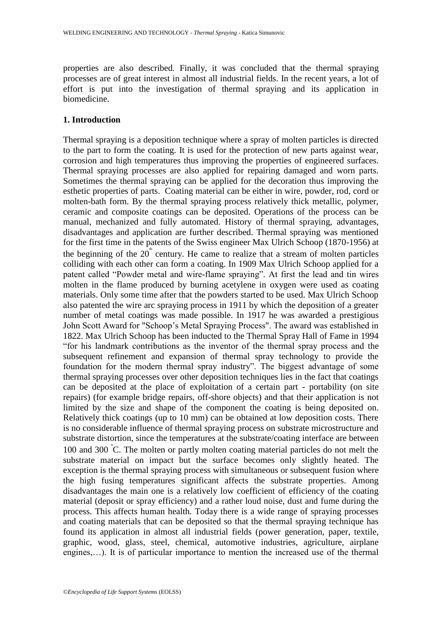properties are also described. Finally, it was concluded that the thermal spraying processes are of great interest in almost all industrial fields. In the recent years, a lot of effort is put into the investigation of thermal spraying and its application in biomedicine.

## **1. Introduction**

Thermal spraying is a deposition technique where a spray of molten particles is directed to the part to form the coating. It is used for the protection of new parts against wear, corrosion and high temperatures thus improving the properties of engineered surfaces. Thermal spraying processes are also applied for repairing damaged and worn parts. Sometimes the thermal spraying can be applied for the decoration thus improving the esthetic properties of parts. Coating material can be either in wire, powder, rod, cord or molten-bath form. By the thermal spraying process relatively thick metallic, polymer, ceramic and composite coatings can be deposited. Operations of the process can be manual, mechanized and fully automated. History of thermal spraying, advantages, disadvantages and application are further described. Thermal spraying was mentioned for the first time in the patents of the Swiss engineer Max Ulrich Schoop (1870-1956) at the beginning of the  $20^{\degree}$  century. He came to realize that a stream of molten particles colliding with each other can form a coating. In 1909 Max Ulrich Schoop applied for a patent called "Powder metal and wire-flame spraying". At first the lead and tin wires molten in the flame produced by burning acetylene in oxygen were used as coating materials. Only some time after that the powders started to be used. Max Ulrich Schoop also patented the wire arc spraying process in 1911 by which the deposition of a greater number of metal coatings was made possible. In 1917 he was awarded a prestigious John Scott Award for "Schoop's Metal Spraying Process". The award was established in 1822. Max Ulrich Schoop has been inducted to the Thermal Spray Hall of Fame in 1994 "for his landmark contributions as the inventor of the thermal spray process and the subsequent refinement and expansion of thermal spray technology to provide the foundation for the modern thermal spray industry". The biggest advantage of some thermal spraying processes over other deposition techniques lies in the fact that coatings can be deposited at the place of exploitation of a certain part - portability (on site repairs) (for example bridge repairs, off-shore objects) and that their application is not limited by the size and shape of the component the coating is being deposited on. Relatively thick coatings (up to 10 mm) can be obtained at low deposition costs. There is no considerable influence of thermal spraying process on substrate microstructure and substrate distortion, since the temperatures at the substrate/coating interface are between 100 and 300 °C. The molten or partly molten coating material particles do not melt the substrate material on impact but the surface becomes only slightly heated. The exception is the thermal spraying process with simultaneous or subsequent fusion where the high fusing temperatures significant affects the substrate properties. Among disadvantages the main one is a relatively low coefficient of efficiency of the coating material (deposit or spray efficiency) and a rather loud noise, dust and fume during the process. This affects human health. Today there is a wide range of spraying processes and coating materials that can be deposited so that the thermal spraying technique has found its application in almost all industrial fields (power generation, paper, textile, graphic, wood, glass, steel, chemical, automotive industries, agriculture, airplane engines,…). It is of particular importance to mention the increased use of the thermal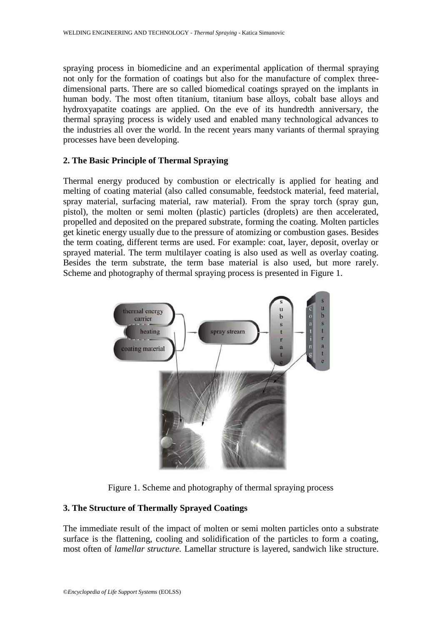spraying process in biomedicine and an experimental application of thermal spraying not only for the formation of coatings but also for the manufacture of complex threedimensional parts. There are so called biomedical coatings sprayed on the implants in human body. The most often titanium, titanium base alloys, cobalt base alloys and hydroxyapatite coatings are applied. On the eve of its hundredth anniversary, the thermal spraying process is widely used and enabled many technological advances to the industries all over the world. In the recent years many variants of thermal spraying processes have been developing.

#### **2. The Basic Principle of Thermal Spraying**

Thermal energy produced by combustion or electrically is applied for heating and melting of coating material (also called consumable, feedstock material, feed material, spray material, surfacing material, raw material). From the spray torch (spray gun, pistol), the molten or semi molten (plastic) particles (droplets) are then accelerated, propelled and deposited on the prepared substrate, forming the coating. Molten particles get kinetic energy usually due to the pressure of atomizing or combustion gases. Besides the term coating, different terms are used. For example: coat, layer, deposit, overlay or sprayed material. The term multilayer coating is also used as well as overlay coating. Besides the term substrate, the term base material is also used, but more rarely. Scheme and photography of thermal spraying process is presented in Figure 1.



Figure 1. Scheme and photography of thermal spraying process

## **3. The Structure of Thermally Sprayed Coatings**

The immediate result of the impact of molten or semi molten particles onto a substrate surface is the flattening, cooling and solidification of the particles to form a coating, most often of *lamellar structure.* Lamellar structure is layered, sandwich like structure.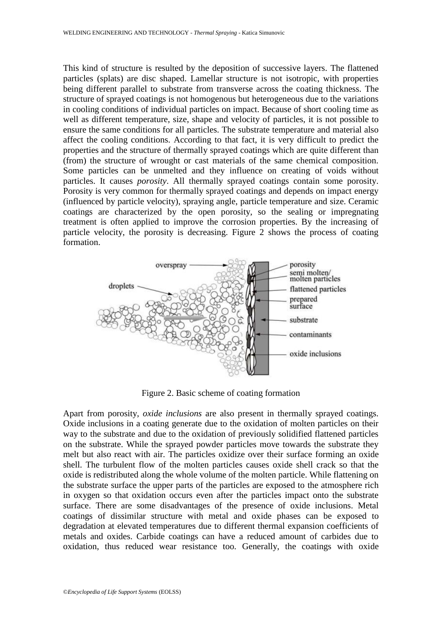This kind of structure is resulted by the deposition of successive layers. The flattened particles (splats) are disc shaped. Lamellar structure is not isotropic, with properties being different parallel to substrate from transverse across the coating thickness. The structure of sprayed coatings is not homogenous but heterogeneous due to the variations in cooling conditions of individual particles on impact. Because of short cooling time as well as different temperature, size, shape and velocity of particles, it is not possible to ensure the same conditions for all particles. The substrate temperature and material also affect the cooling conditions. According to that fact, it is very difficult to predict the properties and the structure of thermally sprayed coatings which are quite different than (from) the structure of wrought or cast materials of the same chemical composition. Some particles can be unmelted and they influence on creating of voids without particles. It causes *porosity*. All thermally sprayed coatings contain some porosity. Porosity is very common for thermally sprayed coatings and depends on impact energy (influenced by particle velocity), spraying angle, particle temperature and size. Ceramic coatings are characterized by the open porosity, so the sealing or impregnating treatment is often applied to improve the corrosion properties. By the increasing of particle velocity, the porosity is decreasing. Figure 2 shows the process of coating formation.



Figure 2. Basic scheme of coating formation

Apart from porosity, *oxide inclusions* are also present in thermally sprayed coatings. Oxide inclusions in a coating generate due to the oxidation of molten particles on their way to the substrate and due to the oxidation of previously solidified flattened particles on the substrate. While the sprayed powder particles move towards the substrate they melt but also react with air. The particles oxidize over their surface forming an oxide shell. The turbulent flow of the molten particles causes oxide shell crack so that the oxide is redistributed along the whole volume of the molten particle. While flattening on the substrate surface the upper parts of the particles are exposed to the atmosphere rich in oxygen so that oxidation occurs even after the particles impact onto the substrate surface. There are some disadvantages of the presence of oxide inclusions. Metal coatings of dissimilar structure with metal and oxide phases can be exposed to degradation at elevated temperatures due to different thermal expansion coefficients of metals and oxides. Carbide coatings can have a reduced amount of carbides due to oxidation, thus reduced wear resistance too. Generally, the coatings with oxide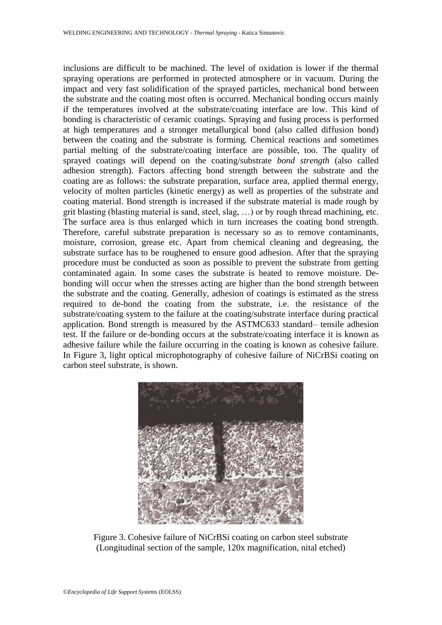inclusions are difficult to be machined. The level of oxidation is lower if the thermal spraying operations are performed in protected atmosphere or in vacuum. During the impact and very fast solidification of the sprayed particles, mechanical bond between the substrate and the coating most often is occurred. Mechanical bonding occurs mainly if the temperatures involved at the substrate/coating interface are low. This kind of bonding is characteristic of ceramic coatings. Spraying and fusing process is performed at high temperatures and a stronger metallurgical bond (also called diffusion bond) between the coating and the substrate is forming. Chemical reactions and sometimes partial melting of the substrate/coating interface are possible, too. The quality of sprayed coatings will depend on the coating/substrate *bond strength* (also called adhesion strength). Factors affecting bond strength between the substrate and the coating are as follows: the substrate preparation, surface area, applied thermal energy, velocity of molten particles (kinetic energy) as well as properties of the substrate and coating material. Bond strength is increased if the substrate material is made rough by grit blasting (blasting material is sand, steel, slag, …) or by rough thread machining, etc. The surface area is thus enlarged which in turn increases the coating bond strength. Therefore, careful substrate preparation is necessary so as to remove contaminants, moisture, corrosion, grease etc. Apart from chemical cleaning and degreasing, the substrate surface has to be roughened to ensure good adhesion. After that the spraying procedure must be conducted as soon as possible to prevent the substrate from getting contaminated again. In some cases the substrate is heated to remove moisture. Debonding will occur when the stresses acting are higher than the bond strength between the substrate and the coating. Generally, adhesion of coatings is estimated as the stress required to de-bond the coating from the substrate, i.e. the resistance of the substrate/coating system to the failure at the coating/substrate interface during practical application. Bond strength is measured by the ASTMC633 standard– tensile adhesion test. If the failure or de-bonding occurs at the substrate/coating interface it is known as adhesive failure while the failure occurring in the coating is known as cohesive failure. In Figure 3, light optical microphotography of cohesive failure of NiCrBSi coating on carbon steel substrate, is shown.



Figure 3. Cohesive failure of NiCrBSi coating on carbon steel substrate (Longitudinal section of the sample, 120x magnification, nital etched)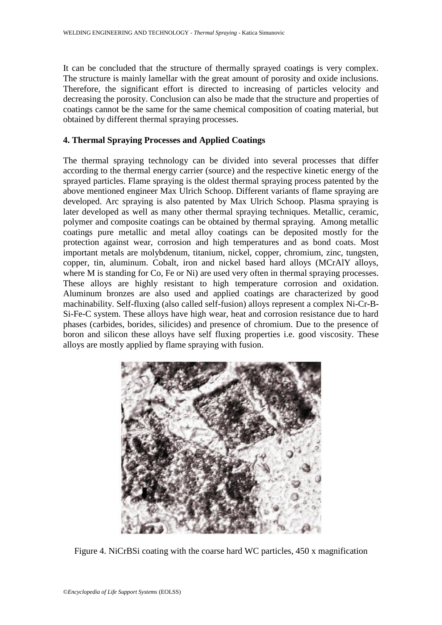It can be concluded that the structure of thermally sprayed coatings is very complex. The structure is mainly lamellar with the great amount of porosity and oxide inclusions. Therefore, the significant effort is directed to increasing of particles velocity and decreasing the porosity. Conclusion can also be made that the structure and properties of coatings cannot be the same for the same chemical composition of coating material, but obtained by different thermal spraying processes.

## **4. Thermal Spraying Processes and Applied Coatings**

The thermal spraying technology can be divided into several processes that differ according to the thermal energy carrier (source) and the respective kinetic energy of the sprayed particles. Flame spraying is the oldest thermal spraying process patented by the above mentioned engineer Max Ulrich Schoop. Different variants of flame spraying are developed. Arc spraying is also patented by Max Ulrich Schoop. Plasma spraying is later developed as well as many other thermal spraying techniques. Metallic, ceramic, polymer and composite coatings can be obtained by thermal spraying. Among metallic coatings pure metallic and metal alloy coatings can be deposited mostly for the protection against wear, corrosion and high temperatures and as bond coats. Most important metals are molybdenum, titanium, nickel, copper, chromium, zinc, tungsten, copper, tin, aluminum. Cobalt, iron and nickel based hard alloys (MCrAlY alloys, where M is standing for Co, Fe or Ni) are used very often in thermal spraying processes. These alloys are highly resistant to high temperature corrosion and oxidation. Aluminum bronzes are also used and applied coatings are characterized by good machinability. Self-fluxing (also called self-fusion) alloys represent a complex Ni-Cr-B-Si-Fe-C system. These alloys have high wear, heat and corrosion resistance due to hard phases (carbides, borides, silicides) and presence of chromium. Due to the presence of boron and silicon these alloys have self fluxing properties i.e. good viscosity. These alloys are mostly applied by flame spraying with fusion.



Figure 4. NiCrBSi coating with the coarse hard WC particles, 450 x magnification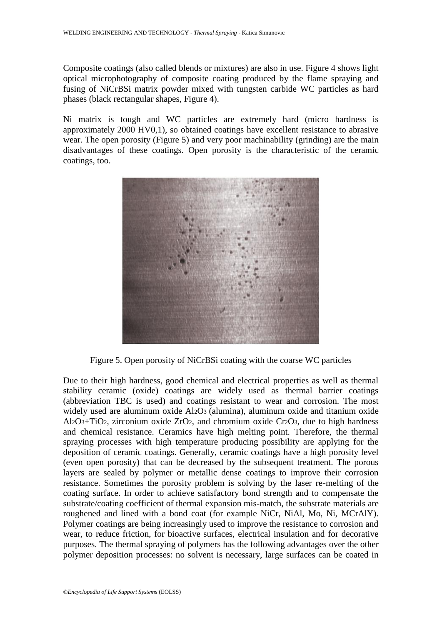Composite coatings (also called blends or mixtures) are also in use. Figure 4 shows light optical microphotography of composite coating produced by the flame spraying and fusing of NiCrBSi matrix powder mixed with tungsten carbide WC particles as hard phases (black rectangular shapes, Figure 4).

Ni matrix is tough and WC particles are extremely hard (micro hardness is approximately 2000 HV0,1), so obtained coatings have excellent resistance to abrasive wear. The open porosity (Figure 5) and very poor machinability (grinding) are the main disadvantages of these coatings. Open porosity is the characteristic of the ceramic coatings, too.



Figure 5. Open porosity of NiCrBSi coating with the coarse WC particles

Due to their high hardness, good chemical and electrical properties as well as thermal stability ceramic (oxide) coatings are widely used as thermal barrier coatings (abbreviation TBC is used) and coatings resistant to wear and corrosion. The most widely used are aluminum oxide Al2O3 (alumina), aluminum oxide and titanium oxide Al2O3+TiO2, zirconium oxide ZrO2, and chromium oxide Cr2O3, due to high hardness and chemical resistance. Ceramics have high melting point. Therefore, the thermal spraying processes with high temperature producing possibility are applying for the deposition of ceramic coatings. Generally, ceramic coatings have a high porosity level (even open porosity) that can be decreased by the subsequent treatment. The porous layers are sealed by polymer or metallic dense coatings to improve their corrosion resistance. Sometimes the porosity problem is solving by the laser re-melting of the coating surface. In order to achieve satisfactory bond strength and to compensate the substrate/coating coefficient of thermal expansion mis-match, the substrate materials are roughened and lined with a bond coat (for example NiCr, NiAl, Mo, Ni, MCrAlY). Polymer coatings are being increasingly used to improve the resistance to corrosion and wear, to reduce friction, for bioactive surfaces, electrical insulation and for decorative purposes. The thermal spraying of polymers has the following advantages over the other polymer deposition processes: no solvent is necessary, large surfaces can be coated in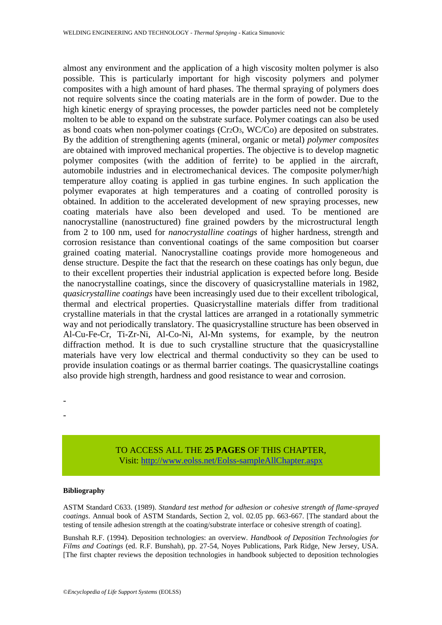almost any environment and the application of a high viscosity molten polymer is also possible. This is particularly important for high viscosity polymers and polymer composites with a high amount of hard phases. The thermal spraying of polymers does not require solvents since the coating materials are in the form of powder. Due to the high kinetic energy of spraying processes, the powder particles need not be completely molten to be able to expand on the substrate surface. Polymer coatings can also be used as bond coats when non-polymer coatings (Cr2O3, WC/Co) are deposited on substrates. By the addition of strengthening agents (mineral, organic or metal) *polymer composites*  are obtained with improved mechanical properties. The objective is to develop magnetic polymer composites (with the addition of ferrite) to be applied in the aircraft, automobile industries and in electromechanical devices. The composite polymer/high temperature alloy coating is applied in gas turbine engines. In such application the polymer evaporates at high temperatures and a coating of controlled porosity is obtained. In addition to the accelerated development of new spraying processes, new coating materials have also been developed and used. To be mentioned are nanocrystalline (nanostructured) fine grained powders by the microstructural length from 2 to 100 nm, used for *nanocrystalline coatings* of higher hardness, strength and corrosion resistance than conventional coatings of the same composition but coarser grained coating material. Nanocrystalline coatings provide more homogeneous and dense structure. Despite the fact that the research on these coatings has only begun, due to their excellent properties their industrial application is expected before long. Beside the nanocrystalline coatings, since the discovery of quasicrystalline materials in 1982, *quasicrystalline coatings* have been increasingly used due to their excellent tribological, thermal and electrical properties. Quasicrystalline materials differ from traditional crystalline materials in that the crystal lattices are arranged in a rotationally symmetric way and not periodically translatory. The quasicrystalline structure has been observed in Al-Cu-Fe-Cr, Ti-Zr-Ni, Al-Co-Ni, Al-Mn systems, for example, by the neutron diffraction method. It is due to such crystalline structure that the quasicrystalline materials have very low electrical and thermal conductivity so they can be used to provide insulation coatings or as thermal barrier coatings. The quasicrystalline coatings also provide high strength, hardness and good resistance to wear and corrosion.

- -

> TO ACCESS ALL THE **25 PAGES** OF THIS CHAPTER, Visi[t: http://www.eolss.net/Eolss-sampleAllChapter.aspx](https://www.eolss.net/ebooklib/sc_cart.aspx?File=E6-171-17-00)

#### **Bibliography**

ASTM Standard C633. (1989). *Standard test method for adhesion or cohesive strength of flame-sprayed coatings*. Annual book of ASTM Standards, Section 2, vol. 02.05 pp. 663-667. [The standard about the testing of tensile adhesion strength at the coating/substrate interface or cohesive strength of coating].

Bunshah R.F. (1994). Deposition technologies: an overview. *Handbook of Deposition Technologies for Films and Coatings* (ed. R.F. Bunshah), pp. 27-54, Noyes Publications, Park Ridge, New Jersey, USA. [The first chapter reviews the deposition technologies in handbook subjected to deposition technologies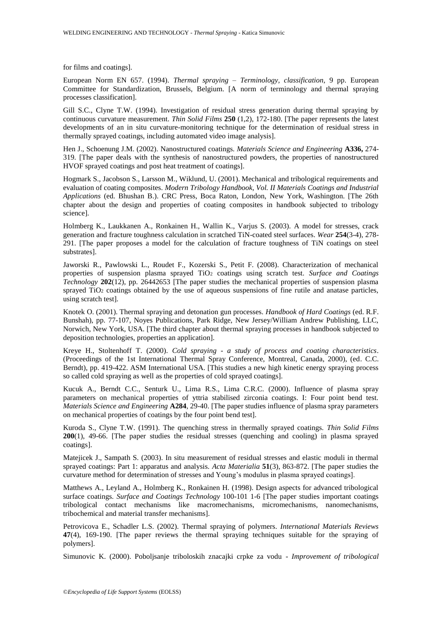for films and coatings].

European Norm EN 657. (1994). *Thermal spraying – Terminology, classification*, 9 pp. European Committee for Standardization, Brussels, Belgium. [A norm of terminology and thermal spraying processes classification].

Gill S.C., Clyne T.W. (1994). Investigation of residual stress generation during thermal spraying by continuous curvature measurement. *Thin Solid Films* **250** (1,2), 172-180. [The paper represents the latest developments of an in situ curvature-monitoring technique for the determination of residual stress in thermally sprayed coatings, including automated video image analysis].

Hen J., Schoenung J.M. (2002). Nanostructured coatings. *Materials Science and Engineering* **A336,** 274- 319. [The paper deals with the synthesis of nanostructured powders, the properties of nanostructured HVOF sprayed coatings and post heat treatment of coatings].

Hogmark S., Jacobson S., Larsson M., Wiklund, U. (2001). Mechanical and tribological requirements and evaluation of coating composites. *Modern Tribology Handbook, Vol. II Materials Coatings and Industrial Applications* (ed. Bhushan B.). CRC Press, Boca Raton, London, New York, Washington. [The 26th chapter about the design and properties of coating composites in handbook subjected to tribology science].

Holmberg K., Laukkanen A., Ronkainen H., Wallin K., Varjus S. (2003). A model for stresses, crack generation and fracture toughness calculation in scratched TiN-coated steel surfaces. *Wear* **254**(3-4), 278- 291. [The paper proposes a model for the calculation of fracture toughness of TiN coatings on steel substrates].

Jaworski R., Pawlowski L., Roudet F., Kozerski S., Petit F. (2008). Characterization of mechanical properties of suspension plasma sprayed TiO<sup>2</sup> coatings using scratch test. *Surface and Coatings Technology* **202**(12), pp. 26442653 [The paper studies the mechanical properties of suspension plasma sprayed TiO<sup>2</sup> coatings obtained by the use of aqueous suspensions of fine rutile and anatase particles, using scratch test].

Knotek O. (2001). Thermal spraying and detonation gun processes. *Handbook of Hard Coatings* (ed. R.F. Bunshah), pp. 77-107, Noyes Publications, Park Ridge, New Jersey/William Andrew Publishing, LLC, Norwich, New York, USA. [The third chapter about thermal spraying processes in handbook subjected to deposition technologies, properties an application].

Kreye H., Stoltenhoff T. (2000). *Cold spraying - a study of process and coating characteristics*. (Proceedings of the 1st International Thermal Spray Conference, Montreal, Canada, 2000), (ed. C.C. Berndt), pp. 419-422. ASM International USA. [This studies a new high kinetic energy spraying process so called cold spraying as well as the properties of cold sprayed coatings].

Kucuk A., Berndt C.C., Senturk U., Lima R.S., Lima C.R.C. (2000). Influence of plasma spray parameters on mechanical properties of yttria stabilised zirconia coatings. I: Four point bend test. *Materials Science and Engineering* **A284**, 29-40. [The paper studies influence of plasma spray parameters on mechanical properties of coatings by the four point bend test].

Kuroda S., Clyne T.W. (1991). The quenching stress in thermally sprayed coatings. *Thin Solid Films*  **200**(1), 49-66. [The paper studies the residual stresses (quenching and cooling) in plasma sprayed coatings].

Matejicek J., Sampath S. (2003). In situ measurement of residual stresses and elastic moduli in thermal sprayed coatings: Part 1: apparatus and analysis. *Acta Materialia* **51**(3), 863-872. [The paper studies the curvature method for determination of stresses and Young's modulus in plasma sprayed coatings].

Matthews A., Leyland A., Holmberg K., Ronkainen H. (1998). Design aspects for advanced tribological surface coatings. *Surface and Coatings Technology* 100-101 1-6 [The paper studies important coatings tribological contact mechanisms like macromechanisms, micromechanisms, nanomechanisms, tribochemical and material transfer mechanisms].

Petrovicova E., Schadler L.S. (2002). Thermal spraying of polymers. *International Materials Reviews*  **47**(4), 169-190. [The paper reviews the thermal spraying techniques suitable for the spraying of polymers].

Simunovic K. (2000). Poboljsanje triboloskih znacajki crpke za vodu - *Improvement of tribological*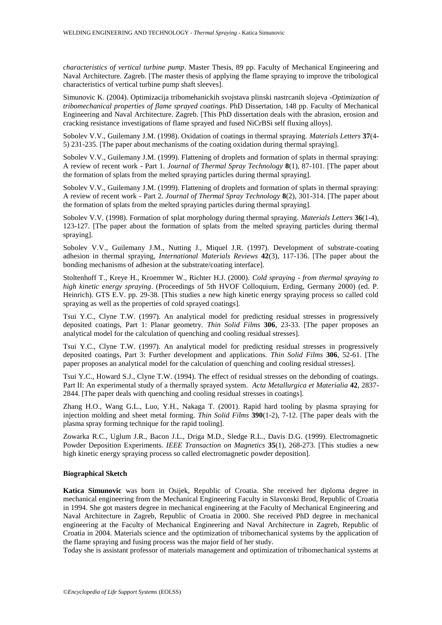*characteristics of vertical turbine pump*. Master Thesis, 89 pp. Faculty of Mechanical Engineering and Naval Architecture. Zagreb. [The master thesis of applying the flame spraying to improve the tribological characteristics of vertical turbine pump shaft sleeves].

Simunovic K. (2004). Optimizacija tribomehanickih svojstava plinski nastrcanih slojeva -*Optimization of tribomechanical properties of flame sprayed coatings*. PhD Dissertation, 148 pp. Faculty of Mechanical Engineering and Naval Architecture. Zagreb. [This PhD dissertation deals with the abrasion, erosion and cracking resistance investigations of flame sprayed and fused NiCrBSi self fluxing alloys].

Sobolev V.V., Guilemany J.M. (1998). Oxidation of coatings in thermal spraying. *Materials Letters* **37**(4- 5) 231-235. [The paper about mechanisms of the coating oxidation during thermal spraying].

Sobolev V.V., Guilemany J.M. (1999). Flattening of droplets and formation of splats in thermal spraying: A review of recent work - Part 1. *Journal of Thermal Spray Technology* **8**(1), 87-101. [The paper about the formation of splats from the melted spraying particles during thermal spraying].

Sobolev V.V., Guilemany J.M. (1999). Flattening of droplets and formation of splats in thermal spraying: A review of recent work - Part 2. *Journal of Thermal Spray Technology* **8**(2), 301-314. [The paper about the formation of splats from the melted spraying particles during thermal spraying].

Sobolev V.V. (1998). Formation of splat morphology during thermal spraying. *Materials Letters* **36**(1-4), 123-127. [The paper about the formation of splats from the melted spraying particles during thermal spraying].

Sobolev V.V., Guilemany J.M., Nutting J., Miquel J.R. (1997). Development of substrate-coating adhesion in thermal spraying, *International Materials Reviews* **42**(3), 117-136. [The paper about the bonding mechanisms of adhesion at the substrate/coating interface].

Stoltenhoff T., Kreye H., Kroemmer W., Richter H.J. (2000). *Cold spraying - from thermal spraying to high kinetic energy spraying*. (Proceedings of 5th HVOF Colloquium, Erding, Germany 2000) (ed. P. Heinrich). GTS E.V. pp. 29-38. [This studies a new high kinetic energy spraying process so called cold spraying as well as the properties of cold sprayed coatings].

Tsui Y.C., Clyne T.W. (1997). An analytical model for predicting residual stresses in progressively deposited coatings, Part 1: Planar geometry. *Thin Solid Films* **306**, 23-33. [The paper proposes an analytical model for the calculation of quenching and cooling residual stresses].

Tsui Y.C., Clyne T.W. (1997). An analytical model for predicting residual stresses in progressively deposited coatings, Part 3: Further development and applications. *Thin Solid Films* **306**, 52-61. [The paper proposes an analytical model for the calculation of quenching and cooling residual stresses].

Tsui Y.C., Howard S.J., Clyne T.W. (1994). The effect of residual stresses on the debonding of coatings. Part II: An experimental study of a thermally sprayed system. *Acta Metallurgica et Materialia* **42**, 2837- 2844. [The paper deals with quenching and cooling residual stresses in coatings].

Zhang H.O., Wang G.L., Luo, Y.H., Nakaga T. (2001). Rapid hard tooling by plasma spraying for injection molding and sheet metal forming. *Thin Solid Films* **390**(1-2), 7-12. [The paper deals with the plasma spray forming technique for the rapid tooling].

Zowarka R.C., Uglum J.R., Bacon J.L., Driga M.D., Sledge R.L., Davis D.G. (1999). Electromagnetic Powder Deposition Experiments. *IEEE Transaction on Magnetics* **35**(1), 268-273. [This studies a new high kinetic energy spraying process so called electromagnetic powder deposition].

#### **Biographical Sketch**

**Katica Simunovic** was born in Osijek, Republic of Croatia. She received her diploma degree in mechanical engineering from the Mechanical Engineering Faculty in Slavonski Brod, Republic of Croatia in 1994. She got masters degree in mechanical engineering at the Faculty of Mechanical Engineering and Naval Architecture in Zagreb, Republic of Croatia in 2000. She received PhD degree in mechanical engineering at the Faculty of Mechanical Engineering and Naval Architecture in Zagreb, Republic of Croatia in 2004. Materials science and the optimization of tribomechanical systems by the application of the flame spraying and fusing process was the major field of her study.

Today she is assistant professor of materials management and optimization of tribomechanical systems at